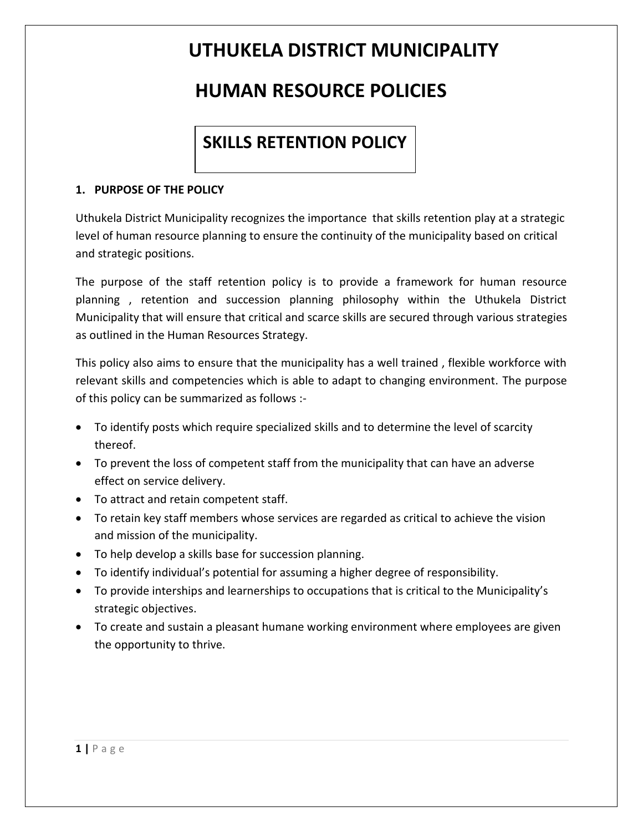### **HUMAN RESOURCE POLICIES**

### **SKILLS RETENTION POLICY**

#### **1. PURPOSE OF THE POLICY**

Uthukela District Municipality recognizes the importance that skills retention play at a strategic level of human resource planning to ensure the continuity of the municipality based on critical and strategic positions.

The purpose of the staff retention policy is to provide a framework for human resource planning , retention and succession planning philosophy within the Uthukela District Municipality that will ensure that critical and scarce skills are secured through various strategies as outlined in the Human Resources Strategy.

This policy also aims to ensure that the municipality has a well trained , flexible workforce with relevant skills and competencies which is able to adapt to changing environment. The purpose of this policy can be summarized as follows :-

- To identify posts which require specialized skills and to determine the level of scarcity thereof.
- To prevent the loss of competent staff from the municipality that can have an adverse effect on service delivery.
- To attract and retain competent staff.
- To retain key staff members whose services are regarded as critical to achieve the vision and mission of the municipality.
- To help develop a skills base for succession planning.
- To identify individual's potential for assuming a higher degree of responsibility.
- To provide interships and learnerships to occupations that is critical to the Municipality's strategic objectives.
- To create and sustain a pleasant humane working environment where employees are given the opportunity to thrive.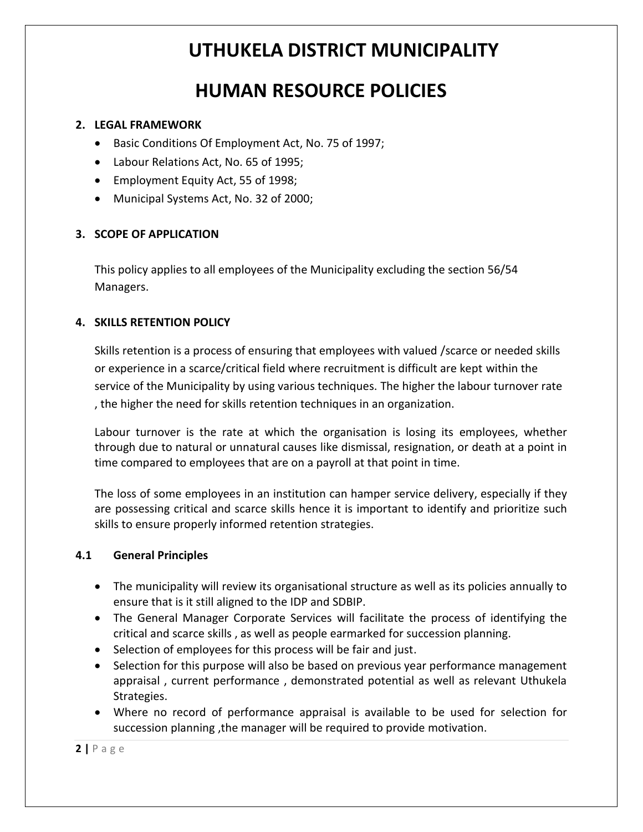### **HUMAN RESOURCE POLICIES**

#### **2. LEGAL FRAMEWORK**

- Basic Conditions Of Employment Act, No. 75 of 1997;
- Labour Relations Act, No. 65 of 1995;
- Employment Equity Act, 55 of 1998;
- Municipal Systems Act, No. 32 of 2000;

#### **3. SCOPE OF APPLICATION**

This policy applies to all employees of the Municipality excluding the section 56/54 Managers.

#### **4. SKILLS RETENTION POLICY**

Skills retention is a process of ensuring that employees with valued /scarce or needed skills or experience in a scarce/critical field where recruitment is difficult are kept within the service of the Municipality by using various techniques. The higher the labour turnover rate , the higher the need for skills retention techniques in an organization.

Labour turnover is the rate at which the organisation is losing its employees, whether through due to natural or unnatural causes like dismissal, resignation, or death at a point in time compared to employees that are on a payroll at that point in time.

The loss of some employees in an institution can hamper service delivery, especially if they are possessing critical and scarce skills hence it is important to identify and prioritize such skills to ensure properly informed retention strategies.

#### **4.1 General Principles**

- The municipality will review its organisational structure as well as its policies annually to ensure that is it still aligned to the IDP and SDBIP.
- The General Manager Corporate Services will facilitate the process of identifying the critical and scarce skills , as well as people earmarked for succession planning.
- Selection of employees for this process will be fair and just.
- Selection for this purpose will also be based on previous year performance management appraisal , current performance , demonstrated potential as well as relevant Uthukela Strategies.
- Where no record of performance appraisal is available to be used for selection for succession planning ,the manager will be required to provide motivation.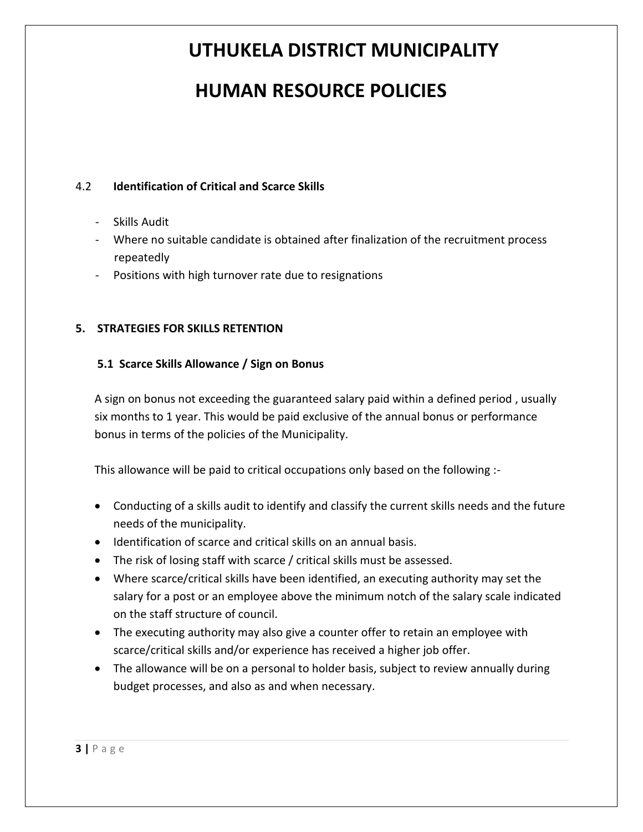### **HUMAN RESOURCE POLICIES**

#### 4.2 **Identification of Critical and Scarce Skills**

- Skills Audit
- Where no suitable candidate is obtained after finalization of the recruitment process repeatedly
- Positions with high turnover rate due to resignations

#### **5. STRATEGIES FOR SKILLS RETENTION**

#### **5.1 Scarce Skills Allowance / Sign on Bonus**

A sign on bonus not exceeding the guaranteed salary paid within a defined period , usually six months to 1 year. This would be paid exclusive of the annual bonus or performance bonus in terms of the policies of the Municipality.

This allowance will be paid to critical occupations only based on the following :-

- Conducting of a skills audit to identify and classify the current skills needs and the future needs of the municipality.
- Identification of scarce and critical skills on an annual basis.
- The risk of losing staff with scarce / critical skills must be assessed.
- Where scarce/critical skills have been identified, an executing authority may set the salary for a post or an employee above the minimum notch of the salary scale indicated on the staff structure of council.
- The executing authority may also give a counter offer to retain an employee with scarce/critical skills and/or experience has received a higher job offer.
- The allowance will be on a personal to holder basis, subject to review annually during budget processes, and also as and when necessary.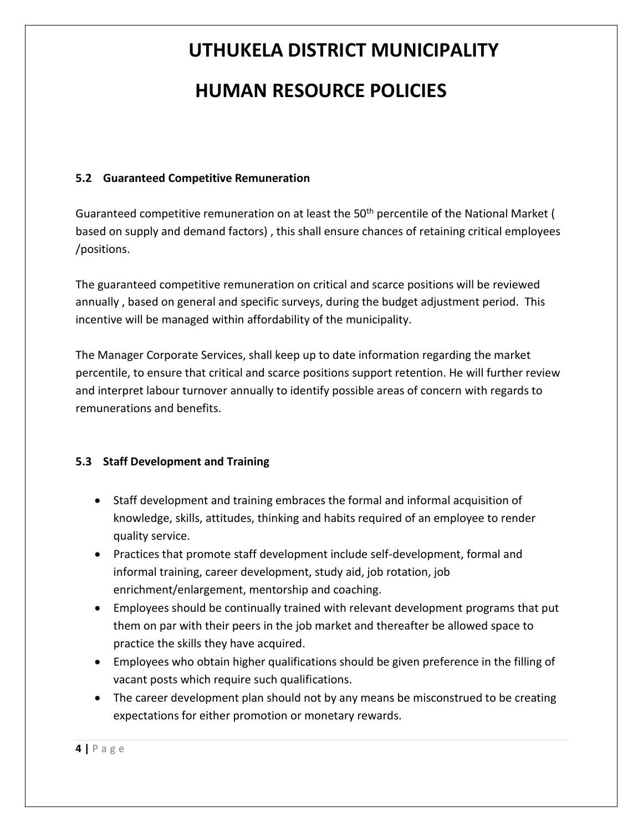# **UTHUKELA DISTRICT MUNICIPALITY HUMAN RESOURCE POLICIES**

#### **5.2 Guaranteed Competitive Remuneration**

Guaranteed competitive remuneration on at least the 50<sup>th</sup> percentile of the National Market ( based on supply and demand factors) , this shall ensure chances of retaining critical employees /positions.

The guaranteed competitive remuneration on critical and scarce positions will be reviewed annually , based on general and specific surveys, during the budget adjustment period. This incentive will be managed within affordability of the municipality.

The Manager Corporate Services, shall keep up to date information regarding the market percentile, to ensure that critical and scarce positions support retention. He will further review and interpret labour turnover annually to identify possible areas of concern with regards to remunerations and benefits.

#### **5.3 Staff Development and Training**

- Staff development and training embraces the formal and informal acquisition of knowledge, skills, attitudes, thinking and habits required of an employee to render quality service.
- Practices that promote staff development include self-development, formal and informal training, career development, study aid, job rotation, job enrichment/enlargement, mentorship and coaching.
- Employees should be continually trained with relevant development programs that put them on par with their peers in the job market and thereafter be allowed space to practice the skills they have acquired.
- Employees who obtain higher qualifications should be given preference in the filling of vacant posts which require such qualifications.
- The career development plan should not by any means be misconstrued to be creating expectations for either promotion or monetary rewards.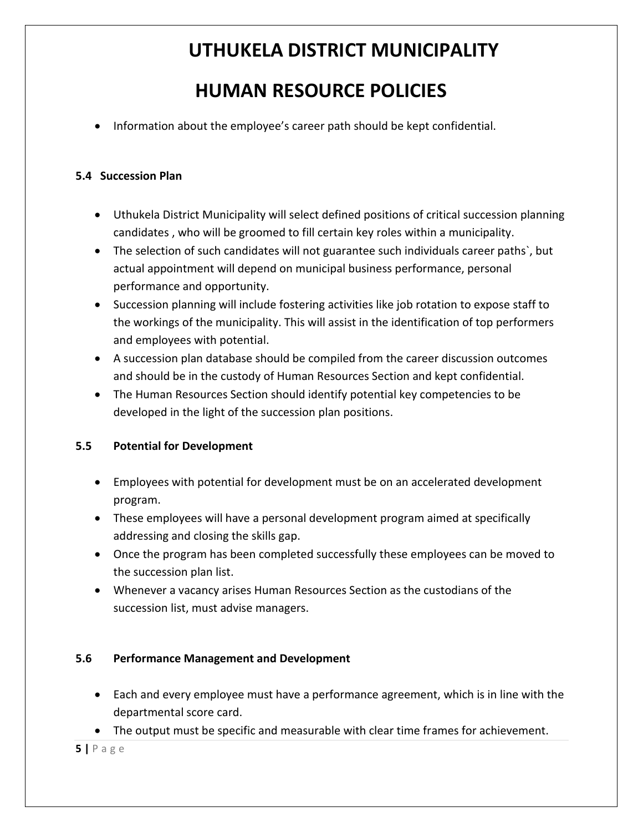### **HUMAN RESOURCE POLICIES**

• Information about the employee's career path should be kept confidential.

#### **5.4 Succession Plan**

- Uthukela District Municipality will select defined positions of critical succession planning candidates , who will be groomed to fill certain key roles within a municipality.
- The selection of such candidates will not guarantee such individuals career paths`, but actual appointment will depend on municipal business performance, personal performance and opportunity.
- Succession planning will include fostering activities like job rotation to expose staff to the workings of the municipality. This will assist in the identification of top performers and employees with potential.
- A succession plan database should be compiled from the career discussion outcomes and should be in the custody of Human Resources Section and kept confidential.
- The Human Resources Section should identify potential key competencies to be developed in the light of the succession plan positions.

#### **5.5 Potential for Development**

- Employees with potential for development must be on an accelerated development program.
- These employees will have a personal development program aimed at specifically addressing and closing the skills gap.
- Once the program has been completed successfully these employees can be moved to the succession plan list.
- Whenever a vacancy arises Human Resources Section as the custodians of the succession list, must advise managers.

#### **5.6 Performance Management and Development**

- Each and every employee must have a performance agreement, which is in line with the departmental score card.
- The output must be specific and measurable with clear time frames for achievement.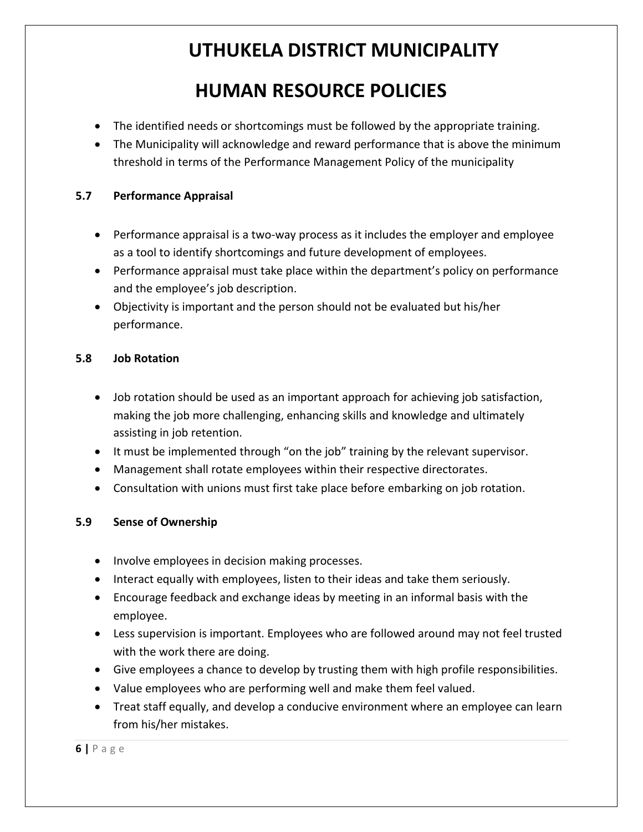### **HUMAN RESOURCE POLICIES**

- The identified needs or shortcomings must be followed by the appropriate training.
- The Municipality will acknowledge and reward performance that is above the minimum threshold in terms of the Performance Management Policy of the municipality

#### **5.7 Performance Appraisal**

- Performance appraisal is a two-way process as it includes the employer and employee as a tool to identify shortcomings and future development of employees.
- Performance appraisal must take place within the department's policy on performance and the employee's job description.
- Objectivity is important and the person should not be evaluated but his/her performance.

#### **5.8 Job Rotation**

- Job rotation should be used as an important approach for achieving job satisfaction, making the job more challenging, enhancing skills and knowledge and ultimately assisting in job retention.
- It must be implemented through "on the job" training by the relevant supervisor.
- Management shall rotate employees within their respective directorates.
- Consultation with unions must first take place before embarking on job rotation.

#### **5.9 Sense of Ownership**

- Involve employees in decision making processes.
- Interact equally with employees, listen to their ideas and take them seriously.
- Encourage feedback and exchange ideas by meeting in an informal basis with the employee.
- Less supervision is important. Employees who are followed around may not feel trusted with the work there are doing.
- Give employees a chance to develop by trusting them with high profile responsibilities.
- Value employees who are performing well and make them feel valued.
- Treat staff equally, and develop a conducive environment where an employee can learn from his/her mistakes.